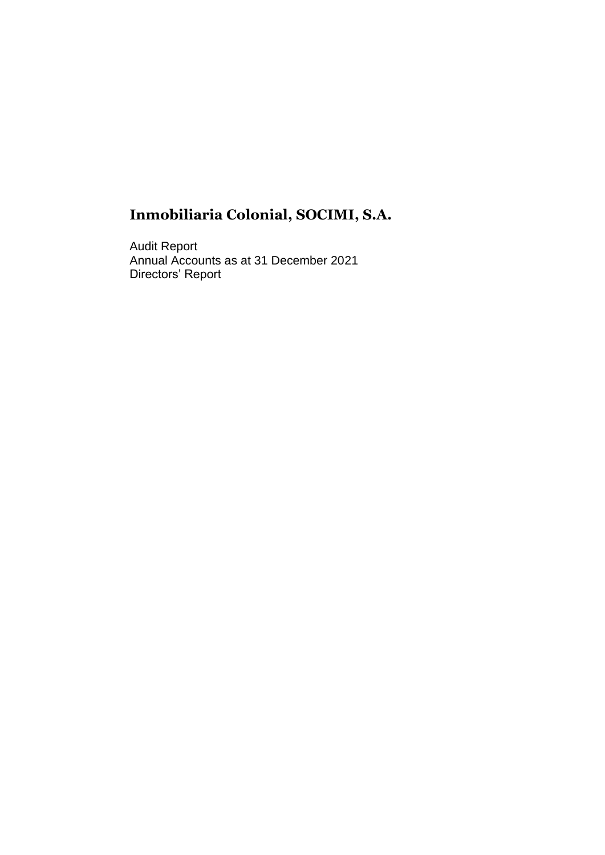Audit Report Annual Accounts as at 31 December 2021 Directors' Report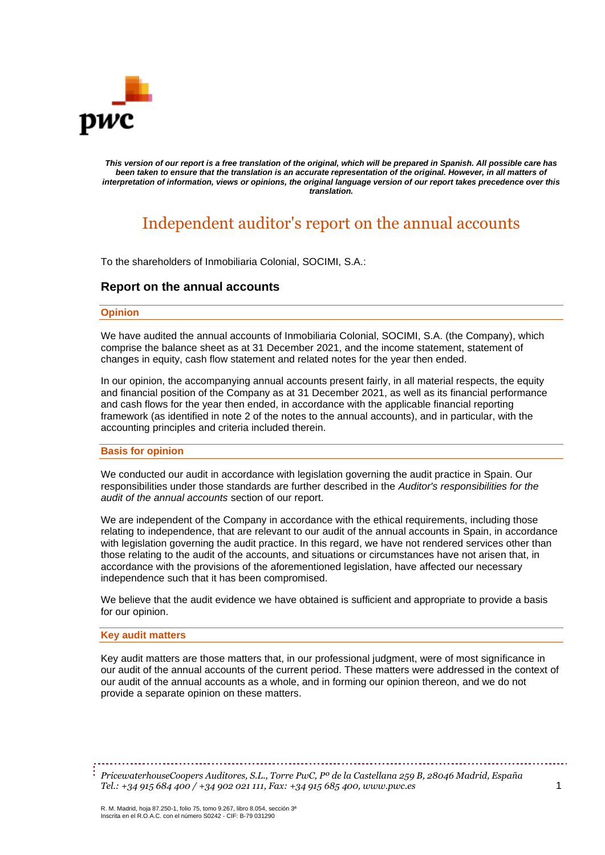

*This version of our report is a free translation of the original, which will be prepared in Spanish. All possible care has been taken to ensure that the translation is an accurate representation of the original. However, in all matters of interpretation of information, views or opinions, the original language version of our report takes precedence over this translation.*

## Independent auditor's report on the annual accounts

To the shareholders of Inmobiliaria Colonial, SOCIMI, S.A.:

#### **Report on the annual accounts**

#### **Opinion**

We have audited the annual accounts of Inmobiliaria Colonial, SOCIMI, S.A. (the Company), which comprise the balance sheet as at 31 December 2021, and the income statement, statement of changes in equity, cash flow statement and related notes for the year then ended.

In our opinion, the accompanying annual accounts present fairly, in all material respects, the equity and financial position of the Company as at 31 December 2021, as well as its financial performance and cash flows for the year then ended, in accordance with the applicable financial reporting framework (as identified in note 2 of the notes to the annual accounts), and in particular, with the accounting principles and criteria included therein.

#### **Basis for opinion**

We conducted our audit in accordance with legislation governing the audit practice in Spain. Our responsibilities under those standards are further described in the *Auditor's responsibilities for the audit of the annual accounts* section of our report.

We are independent of the Company in accordance with the ethical requirements, including those relating to independence, that are relevant to our audit of the annual accounts in Spain, in accordance with legislation governing the audit practice. In this regard, we have not rendered services other than those relating to the audit of the accounts, and situations or circumstances have not arisen that, in accordance with the provisions of the aforementioned legislation, have affected our necessary independence such that it has been compromised.

We believe that the audit evidence we have obtained is sufficient and appropriate to provide a basis for our opinion.

#### **Key audit matters**

Key audit matters are those matters that, in our professional judgment, were of most significance in our audit of the annual accounts of the current period. These matters were addressed in the context of our audit of the annual accounts as a whole, and in forming our opinion thereon, and we do not provide a separate opinion on these matters.

*PricewaterhouseCoopers Auditores, S.L., Torre PwC, Pº de la Castellana 259 B, 28046 Madrid, España Tel.: +34 915 684 400 / +34 902 021 111, Fax: +34 915 685 400, www.pwc.es* 1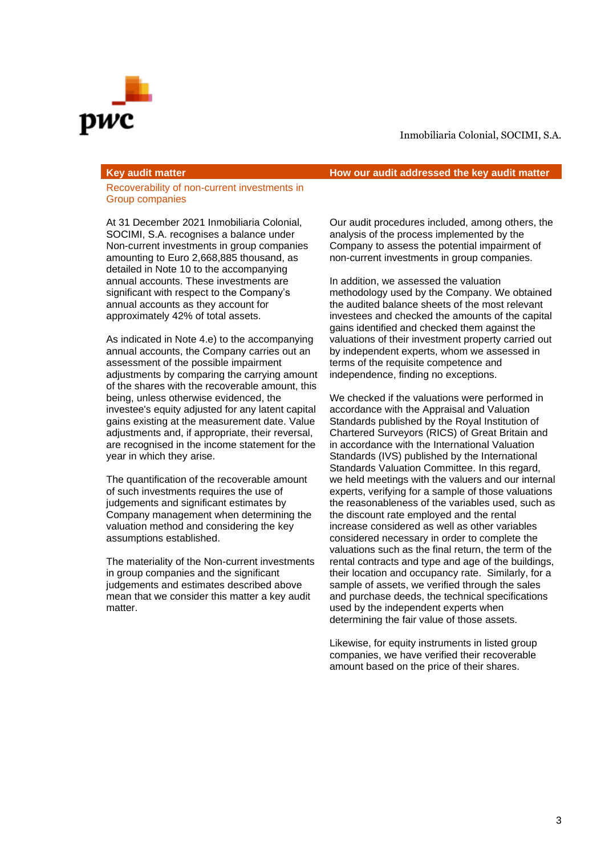

Recoverability of non-current investments in Group companies

At 31 December 2021 Inmobiliaria Colonial, SOCIMI, S.A. recognises a balance under Non-current investments in group companies amounting to Euro 2,668,885 thousand, as detailed in Note 10 to the accompanying annual accounts. These investments are significant with respect to the Company's annual accounts as they account for approximately 42% of total assets.

As indicated in Note 4.e) to the accompanying annual accounts, the Company carries out an assessment of the possible impairment adjustments by comparing the carrying amount of the shares with the recoverable amount, this being, unless otherwise evidenced, the investee's equity adjusted for any latent capital gains existing at the measurement date. Value adjustments and, if appropriate, their reversal, are recognised in the income statement for the year in which they arise.

The quantification of the recoverable amount of such investments requires the use of judgements and significant estimates by Company management when determining the valuation method and considering the key assumptions established.

The materiality of the Non-current investments in group companies and the significant judgements and estimates described above mean that we consider this matter a key audit matter.

**Key audit matter How our audit addressed the key audit matter**

Our audit procedures included, among others, the analysis of the process implemented by the Company to assess the potential impairment of non-current investments in group companies.

In addition, we assessed the valuation methodology used by the Company. We obtained the audited balance sheets of the most relevant investees and checked the amounts of the capital gains identified and checked them against the valuations of their investment property carried out by independent experts, whom we assessed in terms of the requisite competence and independence, finding no exceptions.

We checked if the valuations were performed in accordance with the Appraisal and Valuation Standards published by the Royal Institution of Chartered Surveyors (RICS) of Great Britain and in accordance with the International Valuation Standards (IVS) published by the International Standards Valuation Committee. In this regard, we held meetings with the valuers and our internal experts, verifying for a sample of those valuations the reasonableness of the variables used, such as the discount rate employed and the rental increase considered as well as other variables considered necessary in order to complete the valuations such as the final return, the term of the rental contracts and type and age of the buildings, their location and occupancy rate. Similarly, for a sample of assets, we verified through the sales and purchase deeds, the technical specifications used by the independent experts when determining the fair value of those assets.

Likewise, for equity instruments in listed group companies, we have verified their recoverable amount based on the price of their shares.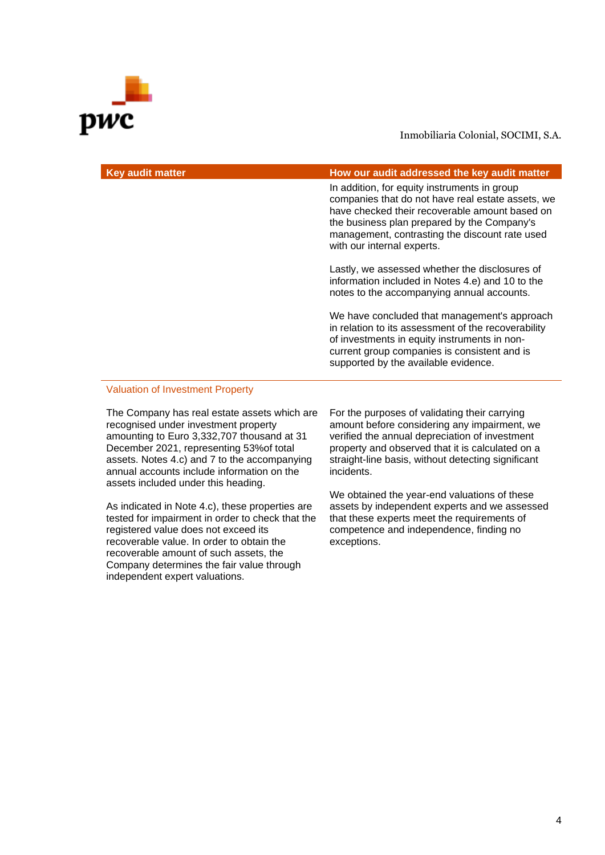# WC

#### Inmobiliaria Colonial, SOCIMI, S.A.

| <b>Key audit matter</b> | How our audit addressed the key audit matter                                                                                                                                                                                                                                       |
|-------------------------|------------------------------------------------------------------------------------------------------------------------------------------------------------------------------------------------------------------------------------------------------------------------------------|
|                         | In addition, for equity instruments in group<br>companies that do not have real estate assets, we<br>have checked their recoverable amount based on<br>the business plan prepared by the Company's<br>management, contrasting the discount rate used<br>with our internal experts. |
|                         | Lastly, we assessed whether the disclosures of<br>information included in Notes 4.e) and 10 to the<br>notes to the accompanying annual accounts.                                                                                                                                   |
|                         | We have concluded that management's approach<br>in relation to its assessment of the recoverability<br>of investments in equity instruments in non-<br>current group companies is consistent and is<br>supported by the available evidence.                                        |

#### Valuation of Investment Property

The Company has real estate assets which are recognised under investment property amounting to Euro 3,332,707 thousand at 31 December 2021, representing 53%of total assets. Notes 4.c) and 7 to the accompanying annual accounts include information on the assets included under this heading.

As indicated in Note 4.c), these properties are tested for impairment in order to check that the registered value does not exceed its recoverable value. In order to obtain the recoverable amount of such assets, the Company determines the fair value through independent expert valuations.

For the purposes of validating their carrying amount before considering any impairment, we verified the annual depreciation of investment property and observed that it is calculated on a straight-line basis, without detecting significant incidents.

We obtained the year-end valuations of these assets by independent experts and we assessed that these experts meet the requirements of competence and independence, finding no exceptions.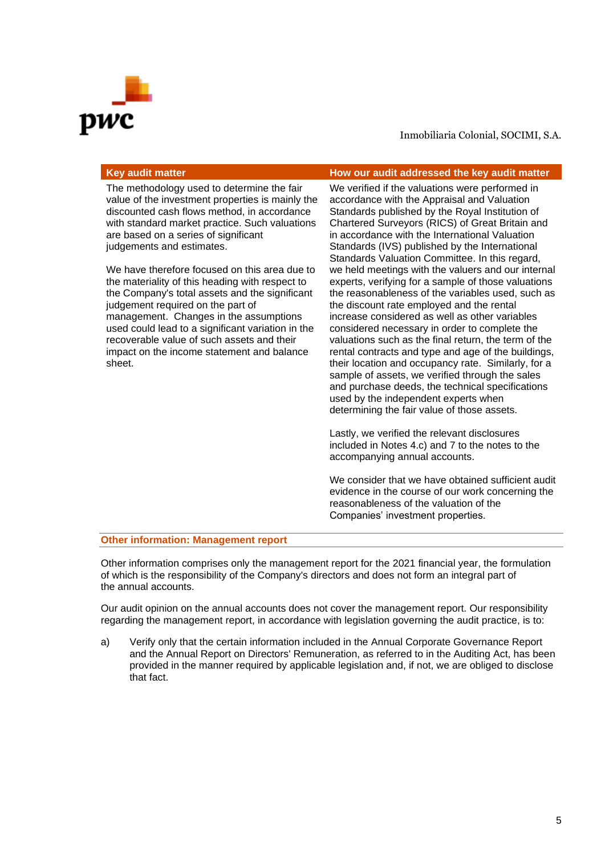

| Key audit matter                           | How our audit addressed the key audit matter    |
|--------------------------------------------|-------------------------------------------------|
| The methodology used to determine the fair | We verified if the veluctions were performed in |

The methodology used to determine the fair value of the investment properties is mainly the discounted cash flows method, in accordance with standard market practice. Such valuations are based on a series of significant judgements and estimates.

We have therefore focused on this area due to the materiality of this heading with respect to the Company's total assets and the significant judgement required on the part of management. Changes in the assumptions used could lead to a significant variation in the recoverable value of such assets and their impact on the income statement and balance sheet.

We verified if the valuations were performed in accordance with the Appraisal and Valuation Standards published by the Royal Institution of Chartered Surveyors (RICS) of Great Britain and in accordance with the International Valuation Standards (IVS) published by the International Standards Valuation Committee. In this regard, we held meetings with the valuers and our internal experts, verifying for a sample of those valuations the reasonableness of the variables used, such as the discount rate employed and the rental increase considered as well as other variables considered necessary in order to complete the valuations such as the final return, the term of the rental contracts and type and age of the buildings, their location and occupancy rate. Similarly, for a sample of assets, we verified through the sales and purchase deeds, the technical specifications used by the independent experts when determining the fair value of those assets.

Lastly, we verified the relevant disclosures included in Notes 4.c) and 7 to the notes to the accompanying annual accounts.

We consider that we have obtained sufficient audit evidence in the course of our work concerning the reasonableness of the valuation of the Companies' investment properties.

#### **Other information: Management report**

Other information comprises only the management report for the 2021 financial year, the formulation of which is the responsibility of the Company's directors and does not form an integral part of the annual accounts.

Our audit opinion on the annual accounts does not cover the management report. Our responsibility regarding the management report, in accordance with legislation governing the audit practice, is to:

a) Verify only that the certain information included in the Annual Corporate Governance Report and the Annual Report on Directors' Remuneration, as referred to in the Auditing Act, has been provided in the manner required by applicable legislation and, if not, we are obliged to disclose that fact.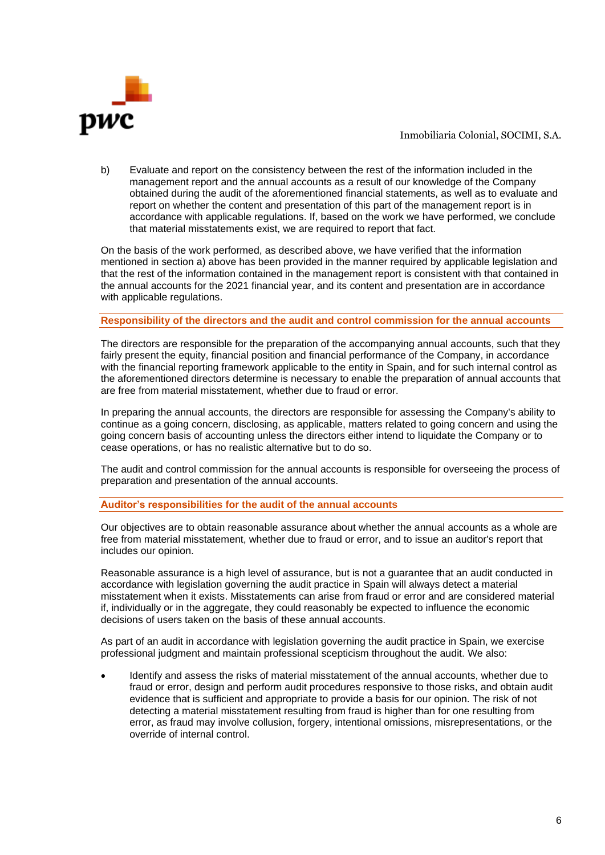

b) Evaluate and report on the consistency between the rest of the information included in the management report and the annual accounts as a result of our knowledge of the Company obtained during the audit of the aforementioned financial statements, as well as to evaluate and report on whether the content and presentation of this part of the management report is in accordance with applicable regulations. If, based on the work we have performed, we conclude that material misstatements exist, we are required to report that fact.

On the basis of the work performed, as described above, we have verified that the information mentioned in section a) above has been provided in the manner required by applicable legislation and that the rest of the information contained in the management report is consistent with that contained in the annual accounts for the 2021 financial year, and its content and presentation are in accordance with applicable regulations.

#### **Responsibility of the directors and the audit and control commission for the annual accounts**

The directors are responsible for the preparation of the accompanying annual accounts, such that they fairly present the equity, financial position and financial performance of the Company, in accordance with the financial reporting framework applicable to the entity in Spain, and for such internal control as the aforementioned directors determine is necessary to enable the preparation of annual accounts that are free from material misstatement, whether due to fraud or error.

In preparing the annual accounts, the directors are responsible for assessing the Company's ability to continue as a going concern, disclosing, as applicable, matters related to going concern and using the going concern basis of accounting unless the directors either intend to liquidate the Company or to cease operations, or has no realistic alternative but to do so.

The audit and control commission for the annual accounts is responsible for overseeing the process of preparation and presentation of the annual accounts.

#### **Auditor's responsibilities for the audit of the annual accounts**

Our objectives are to obtain reasonable assurance about whether the annual accounts as a whole are free from material misstatement, whether due to fraud or error, and to issue an auditor's report that includes our opinion.

Reasonable assurance is a high level of assurance, but is not a guarantee that an audit conducted in accordance with legislation governing the audit practice in Spain will always detect a material misstatement when it exists. Misstatements can arise from fraud or error and are considered material if, individually or in the aggregate, they could reasonably be expected to influence the economic decisions of users taken on the basis of these annual accounts.

As part of an audit in accordance with legislation governing the audit practice in Spain, we exercise professional judgment and maintain professional scepticism throughout the audit. We also:

• Identify and assess the risks of material misstatement of the annual accounts, whether due to fraud or error, design and perform audit procedures responsive to those risks, and obtain audit evidence that is sufficient and appropriate to provide a basis for our opinion. The risk of not detecting a material misstatement resulting from fraud is higher than for one resulting from error, as fraud may involve collusion, forgery, intentional omissions, misrepresentations, or the override of internal control.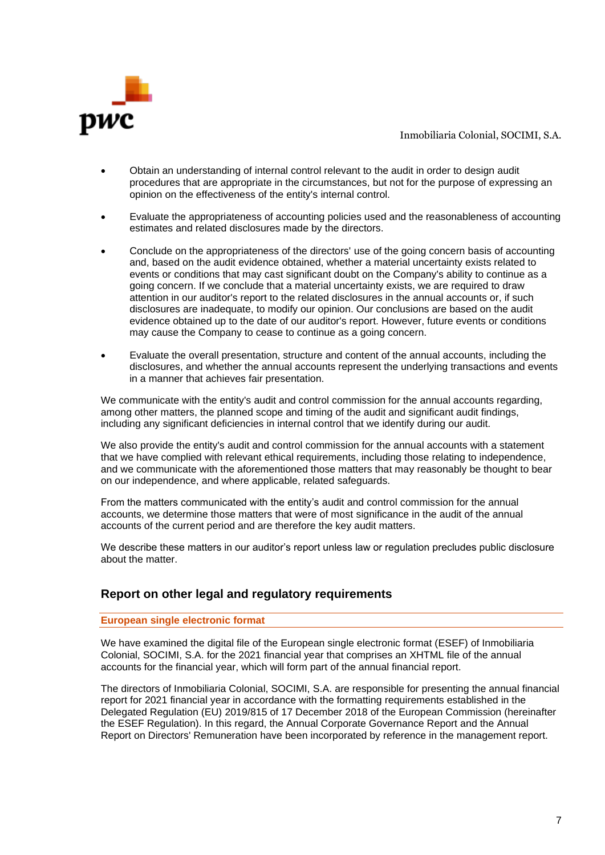

- Obtain an understanding of internal control relevant to the audit in order to design audit procedures that are appropriate in the circumstances, but not for the purpose of expressing an opinion on the effectiveness of the entity's internal control.
- Evaluate the appropriateness of accounting policies used and the reasonableness of accounting estimates and related disclosures made by the directors.
- Conclude on the appropriateness of the directors' use of the going concern basis of accounting and, based on the audit evidence obtained, whether a material uncertainty exists related to events or conditions that may cast significant doubt on the Company's ability to continue as a going concern. If we conclude that a material uncertainty exists, we are required to draw attention in our auditor's report to the related disclosures in the annual accounts or, if such disclosures are inadequate, to modify our opinion. Our conclusions are based on the audit evidence obtained up to the date of our auditor's report. However, future events or conditions may cause the Company to cease to continue as a going concern.
- Evaluate the overall presentation, structure and content of the annual accounts, including the disclosures, and whether the annual accounts represent the underlying transactions and events in a manner that achieves fair presentation.

We communicate with the entity's audit and control commission for the annual accounts regarding, among other matters, the planned scope and timing of the audit and significant audit findings, including any significant deficiencies in internal control that we identify during our audit.

We also provide the entity's audit and control commission for the annual accounts with a statement that we have complied with relevant ethical requirements, including those relating to independence, and we communicate with the aforementioned those matters that may reasonably be thought to bear on our independence, and where applicable, related safeguards.

From the matters communicated with the entity's audit and control commission for the annual accounts, we determine those matters that were of most significance in the audit of the annual accounts of the current period and are therefore the key audit matters.

We describe these matters in our auditor's report unless law or regulation precludes public disclosure about the matter.

### **Report on other legal and regulatory requirements**

#### **European single electronic format**

We have examined the digital file of the European single electronic format (ESEF) of Inmobiliaria Colonial, SOCIMI, S.A. for the 2021 financial year that comprises an XHTML file of the annual accounts for the financial year, which will form part of the annual financial report.

The directors of Inmobiliaria Colonial, SOCIMI, S.A. are responsible for presenting the annual financial report for 2021 financial year in accordance with the formatting requirements established in the Delegated Regulation (EU) 2019/815 of 17 December 2018 of the European Commission (hereinafter the ESEF Regulation). In this regard, the Annual Corporate Governance Report and the Annual Report on Directors' Remuneration have been incorporated by reference in the management report.